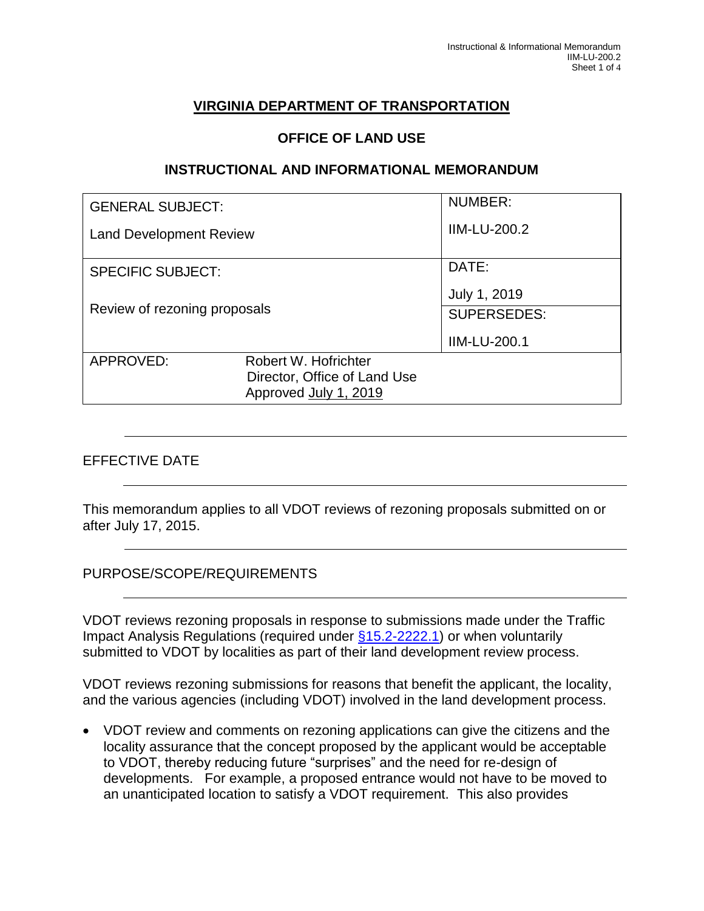# **VIRGINIA DEPARTMENT OF TRANSPORTATION**

#### **OFFICE OF LAND USE**

#### **INSTRUCTIONAL AND INFORMATIONAL MEMORANDUM**

| <b>GENERAL SUBJECT:</b>        |                              | <b>NUMBER:</b>      |
|--------------------------------|------------------------------|---------------------|
| <b>Land Development Review</b> |                              | <b>IIM-LU-200.2</b> |
| <b>SPECIFIC SUBJECT:</b>       |                              | DATE:               |
|                                |                              | July 1, 2019        |
| Review of rezoning proposals   |                              | <b>SUPERSEDES:</b>  |
|                                |                              | <b>IIM-LU-200.1</b> |
| APPROVED:                      | Robert W. Hofrichter         |                     |
|                                | Director, Office of Land Use |                     |
|                                | Approved July 1, 2019        |                     |

#### EFFECTIVE DATE

This memorandum applies to all VDOT reviews of rezoning proposals submitted on or after July 17, 2015.

#### PURPOSE/SCOPE/REQUIREMENTS

VDOT reviews rezoning proposals in response to submissions made under the Traffic Impact Analysis Regulations (required under [§15.2-2222.1\)](http://law.lis.virginia.gov/vacode/title15.2/chapter22/section15.2-2222.1/) or when voluntarily submitted to VDOT by localities as part of their land development review process.

VDOT reviews rezoning submissions for reasons that benefit the applicant, the locality, and the various agencies (including VDOT) involved in the land development process.

 VDOT review and comments on rezoning applications can give the citizens and the locality assurance that the concept proposed by the applicant would be acceptable to VDOT, thereby reducing future "surprises" and the need for re-design of developments. For example, a proposed entrance would not have to be moved to an unanticipated location to satisfy a VDOT requirement. This also provides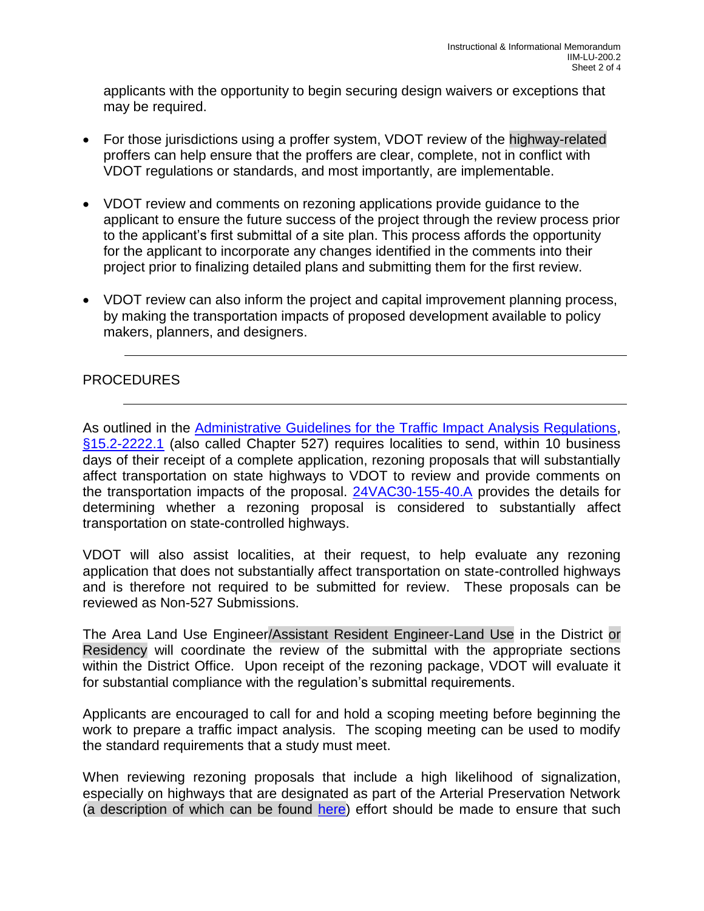applicants with the opportunity to begin securing design waivers or exceptions that may be required.

- For those jurisdictions using a proffer system, VDOT review of the highway-related proffers can help ensure that the proffers are clear, complete, not in conflict with VDOT regulations or standards, and most importantly, are implementable.
- VDOT review and comments on rezoning applications provide guidance to the applicant to ensure the future success of the project through the review process prior to the applicant's first submittal of a site plan. This process affords the opportunity for the applicant to incorporate any changes identified in the comments into their project prior to finalizing detailed plans and submitting them for the first review.
- VDOT review can also inform the project and capital improvement planning process, by making the transportation impacts of proposed development available to policy makers, planners, and designers.

### PROCEDURES

As outlined in the [Administrative Guidelines for the Traffic Impact Analysis Regulations,](http://www.vdot.virginia.gov/projects/resources/chapter527/Administrative_Guidelines_TIA_Regs_Nov_2014.pdf) [§15.2-2222.1](http://law.lis.virginia.gov/vacode/title15.2/chapter22/section15.2-2222.1/) (also called Chapter 527) requires localities to send, within 10 business days of their receipt of a complete application, rezoning proposals that will substantially affect transportation on state highways to VDOT to review and provide comments on the transportation impacts of the proposal. [24VAC30-155-40.A](http://law.lis.virginia.gov/admincode/title24/agency30/chapter155/section40/) provides the details for determining whether a rezoning proposal is considered to substantially affect transportation on state-controlled highways.

VDOT will also assist localities, at their request, to help evaluate any rezoning application that does not substantially affect transportation on state-controlled highways and is therefore not required to be submitted for review. These proposals can be reviewed as Non-527 Submissions.

The Area Land Use Engineer/Assistant Resident Engineer-Land Use in the District or Residency will coordinate the review of the submittal with the appropriate sections within the District Office. Upon receipt of the rezoning package, VDOT will evaluate it for substantial compliance with the regulation's submittal requirements.

Applicants are encouraged to call for and hold a scoping meeting before beginning the work to prepare a traffic impact analysis. The scoping meeting can be used to modify the standard requirements that a study must meet.

When reviewing rezoning proposals that include a high likelihood of signalization, especially on highways that are designated as part of the Arterial Preservation Network (a description of which can be found [here\)](http://www.virginiadot.org/programs/vdot_arterial_preservation_program.asp) effort should be made to ensure that such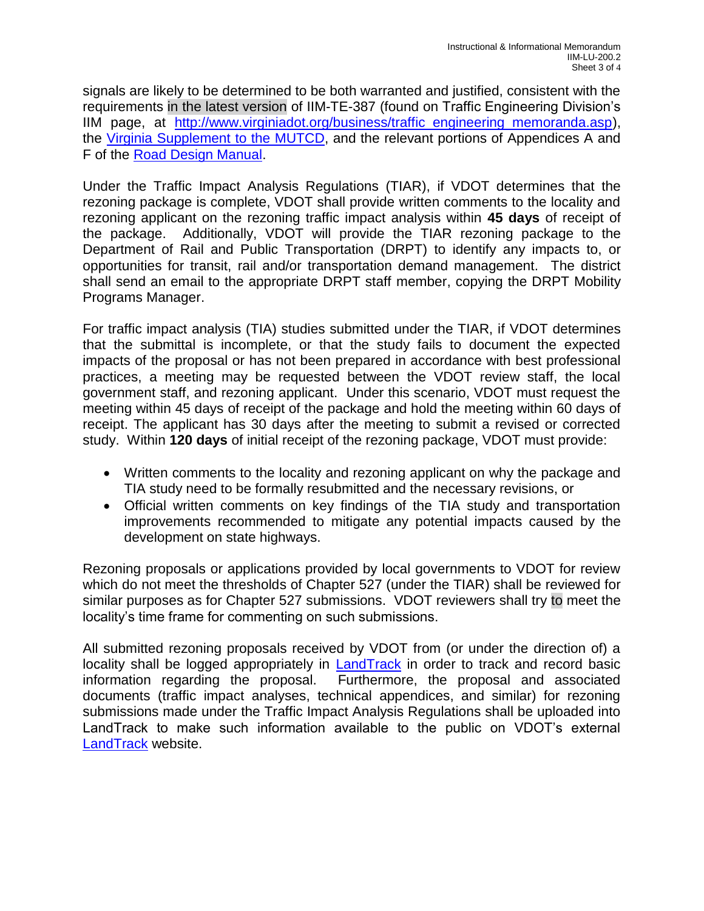signals are likely to be determined to be both warranted and justified, consistent with the requirements in the latest version of IIM-TE-387 (found on Traffic Engineering Division's IIM page, at [http://www.virginiadot.org/business/traffic\\_engineering\\_memoranda.asp\)](http://www.virginiadot.org/business/traffic_engineering_memoranda.asp), the [Virginia Supplement to the MUTCD,](http://www.virginiadot.org/business/virginia_mutcd_supplement.asp) and the relevant portions of Appendices A and F of the [Road Design Manual.](http://www.extranet.vdot.state.va.us/locdes/Electronic_Pubs/2005%20RDM/RoadDesignCoverVol.1.pdf)

Under the Traffic Impact Analysis Regulations (TIAR), if VDOT determines that the rezoning package is complete, VDOT shall provide written comments to the locality and rezoning applicant on the rezoning traffic impact analysis within **45 days** of receipt of the package. Additionally, VDOT will provide the TIAR rezoning package to the Department of Rail and Public Transportation (DRPT) to identify any impacts to, or opportunities for transit, rail and/or transportation demand management. The district shall send an email to the appropriate DRPT staff member, copying the DRPT Mobility Programs Manager.

For traffic impact analysis (TIA) studies submitted under the TIAR, if VDOT determines that the submittal is incomplete, or that the study fails to document the expected impacts of the proposal or has not been prepared in accordance with best professional practices, a meeting may be requested between the VDOT review staff, the local government staff, and rezoning applicant. Under this scenario, VDOT must request the meeting within 45 days of receipt of the package and hold the meeting within 60 days of receipt. The applicant has 30 days after the meeting to submit a revised or corrected study. Within **120 days** of initial receipt of the rezoning package, VDOT must provide:

- Written comments to the locality and rezoning applicant on why the package and TIA study need to be formally resubmitted and the necessary revisions, or
- Official written comments on key findings of the TIA study and transportation improvements recommended to mitigate any potential impacts caused by the development on state highways.

Rezoning proposals or applications provided by local governments to VDOT for review which do not meet the thresholds of Chapter 527 (under the TIAR) shall be reviewed for similar purposes as for Chapter 527 submissions. VDOT reviewers shall try to meet the locality's time frame for commenting on such submissions.

All submitted rezoning proposals received by VDOT from (or under the direction of) a locality shall be logged appropriately in [LandTrack](http://landtrack/?District=S) in order to track and record basic information regarding the proposal. Furthermore, the proposal and associated documents (traffic impact analyses, technical appendices, and similar) for rezoning submissions made under the Traffic Impact Analysis Regulations shall be uploaded into LandTrack to make such information available to the public on VDOT's external [LandTrack](http://landtrx.vdot.virginia.gov/) website.